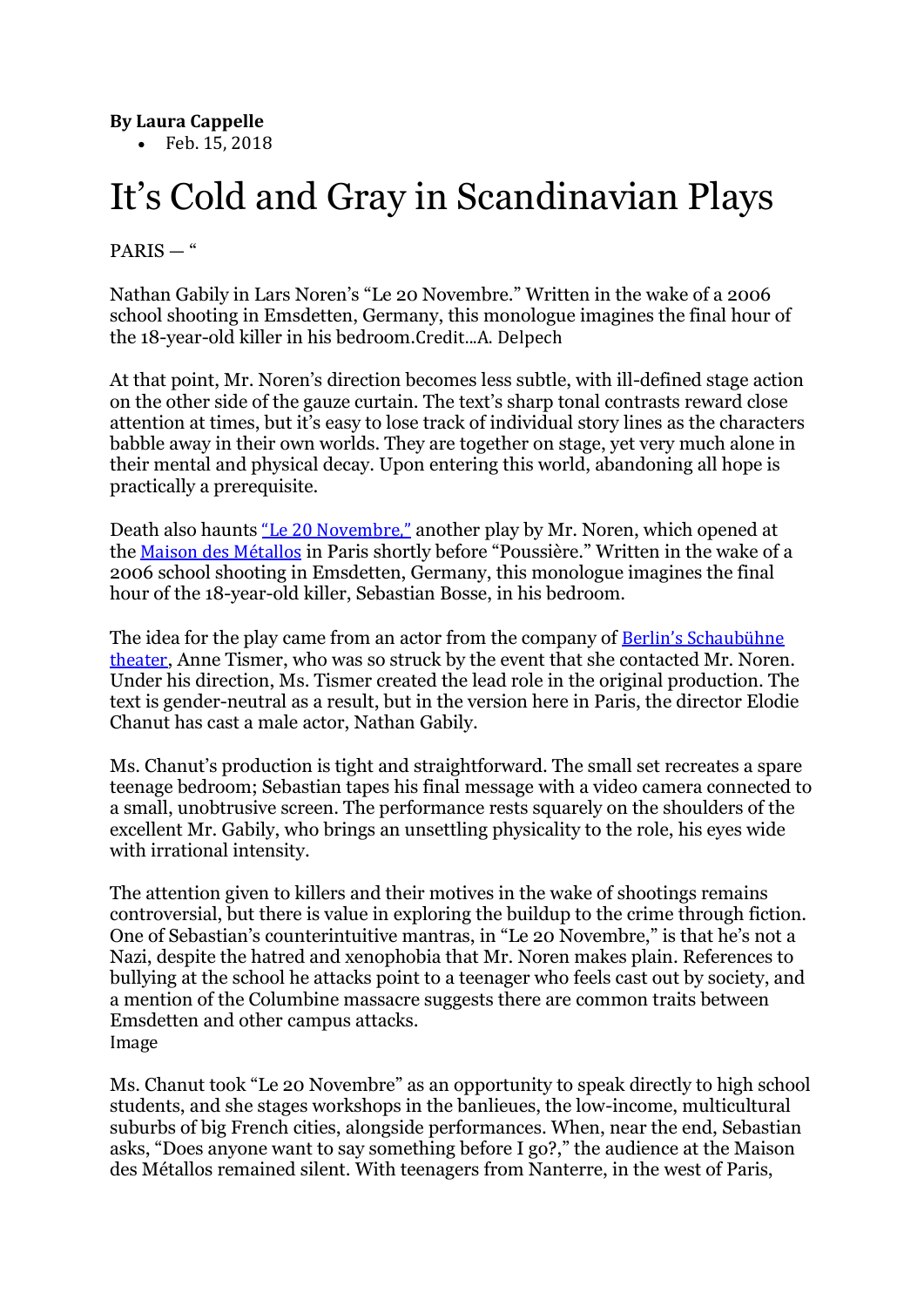## **By Laura Cappelle**

• Feb. 15, 2018

## It's Cold and Gray in Scandinavian Plays

PARIS — "

Nathan Gabily in Lars Noren's "Le 20 Novembre." Written in the wake of a 2006 school shooting in Emsdetten, Germany, this monologue imagines the final hour of the 18-year-old killer in his bedroom.Credit...A. Delpech

At that point, Mr. Noren's direction becomes less subtle, with ill-defined stage action on the other side of the gauze curtain. The text's sharp tonal contrasts reward close attention at times, but it's easy to lose track of individual story lines as the characters babble away in their own worlds. They are together on stage, yet very much alone in their mental and physical decay. Upon entering this world, abandoning all hope is practically a prerequisite.

Death also haunts "Le 20 [Novembre,"](http://www.maisondesmetallos.paris/2017/11/29/le-20-novembre) another play by Mr. Noren, which opened at the Maison des [Métallos](http://www.maisondesmetallos.paris/) in Paris shortly before "Poussière." Written in the wake of a 2006 school shooting in Emsdetten, Germany, this monologue imagines the final hour of the 18-year-old killer, Sebastian Bosse, in his bedroom.

The idea for the play came from an actor from the company of Berlin's [Schaubühne](https://www.schaubuehne.de/) [theater](https://www.schaubuehne.de/), Anne Tismer, who was so struck by the event that she contacted Mr. Noren. Under his direction, Ms. Tismer created the lead role in the original production. The text is gender-neutral as a result, but in the version here in Paris, the director Elodie Chanut has cast a male actor, Nathan Gabily.

Ms. Chanut's production is tight and straightforward. The small set recreates a spare teenage bedroom; Sebastian tapes his final message with a video camera connected to a small, unobtrusive screen. The performance rests squarely on the shoulders of the excellent Mr. Gabily, who brings an unsettling physicality to the role, his eyes wide with irrational intensity.

The attention given to killers and their motives in the wake of shootings remains controversial, but there is value in exploring the buildup to the crime through fiction. One of Sebastian's counterintuitive mantras, in "Le 20 Novembre," is that he's not a Nazi, despite the hatred and xenophobia that Mr. Noren makes plain. References to bullying at the school he attacks point to a teenager who feels cast out by society, and a mention of the Columbine massacre suggests there are common traits between Emsdetten and other campus attacks. Image

Ms. Chanut took "Le 20 Novembre" as an opportunity to speak directly to high school students, and she stages workshops in the banlieues, the low-income, multicultural suburbs of big French cities, alongside performances. When, near the end, Sebastian asks, "Does anyone want to say something before I go?," the audience at the Maison des Métallos remained silent. With teenagers from Nanterre, in the west of Paris,